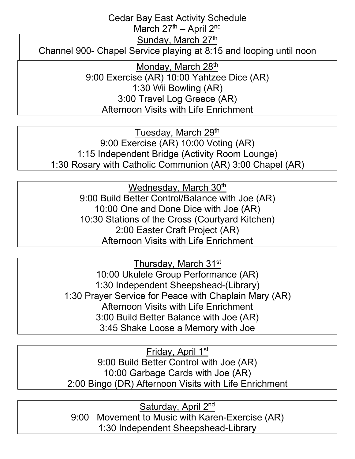Cedar Bay East Activity Schedule

March  $27<sup>th</sup>$  – April  $2<sup>nd</sup>$ 

Sunday, March 27th

Channel 900- Chapel Service playing at 8:15 and looping until noon

Monday, March 28<sup>th</sup> 9:00 Exercise (AR) 10:00 Yahtzee Dice (AR) 1:30 Wii Bowling (AR) 3:00 Travel Log Greece (AR) Afternoon Visits with Life Enrichment

Tuesday, March 29<sup>th</sup> 9:00 Exercise (AR) 10:00 Voting (AR) 1:15 Independent Bridge (Activity Room Lounge) 1:30 Rosary with Catholic Communion (AR) 3:00 Chapel (AR)

> Wednesday, March 30<sup>th</sup> 9:00 Build Better Control/Balance with Joe (AR) 10:00 One and Done Dice with Joe (AR) 10:30 Stations of the Cross (Courtyard Kitchen) 2:00 Easter Craft Project (AR) Afternoon Visits with Life Enrichment

Thursday, March 31st 10:00 Ukulele Group Performance (AR) 1:30 Independent Sheepshead-(Library) 1:30 Prayer Service for Peace with Chaplain Mary (AR) Afternoon Visits with Life Enrichment 3:00 Build Better Balance with Joe (AR) 3:45 Shake Loose a Memory with Joe

Friday, April 1st 9:00 Build Better Control with Joe (AR) 10:00 Garbage Cards with Joe (AR) 2:00 Bingo (DR) Afternoon Visits with Life Enrichment

Saturday, April 2nd 9:00 Movement to Music with Karen-Exercise (AR) 1:30 Independent Sheepshead-Library